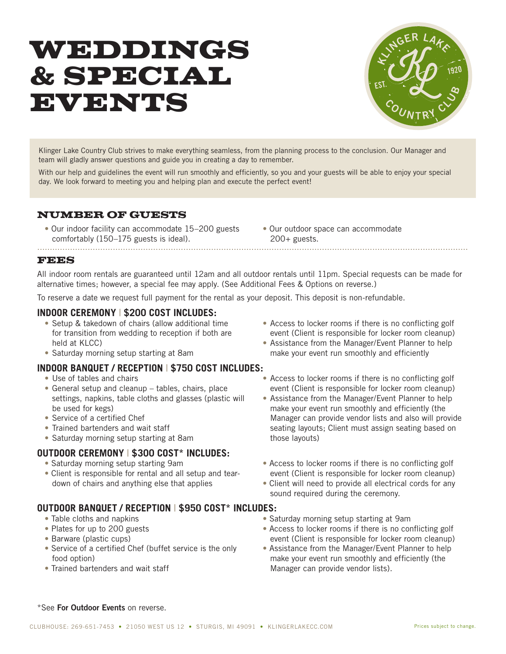# WEDDINGS & SPECIAL EVENTS



Klinger Lake Country Club strives to make everything seamless, from the planning process to the conclusion. Our Manager and team will gladly answer questions and guide you in creating a day to remember.

With our help and guidelines the event will run smoothly and efficiently, so you and your guests will be able to enjoy your special day. We look forward to meeting you and helping plan and execute the perfect event!

### NUMBER OF GUESTS

- Our indoor facility can accommodate 15–200 guests comfortably (150–175 guests is ideal).
- Our outdoor space can accommodate 200+ guests.

#### FEES

All indoor room rentals are guaranteed until 12am and all outdoor rentals until 11pm. Special requests can be made for alternative times; however, a special fee may apply. (See Additional Fees & Options on reverse.)

To reserve a date we request full payment for the rental as your deposit. This deposit is non-refundable.

...........................................................................................................................................................................

#### **INDOOR CEREMONY** | **\$200 COST INCLUDES:**

- Setup & takedown of chairs (allow additional time for transition from wedding to reception if both are held at KLCC)
- Saturday morning setup starting at 8am

#### **INDOOR BANQUET / RECEPTION** | **\$750 COST INCLUDES:**

- Use of tables and chairs
- General setup and cleanup tables, chairs, place settings, napkins, table cloths and glasses (plastic will be used for kegs)
- Service of a certified Chef
- Trained bartenders and wait staff
- Saturday morning setup starting at 8am

#### **OUTDOOR CEREMONY** | **\$300 COST\* INCLUDES:**

- Saturday morning setup starting 9am
- Client is responsible for rental and all setup and teardown of chairs and anything else that applies

#### **OUTDOOR BANQUET / RECEPTION** | **\$950 COST\* INCLUDES:**

- Table cloths and napkins
- Plates for up to 200 guests
- Barware (plastic cups)
- Service of a certified Chef (buffet service is the only food option)
- Trained bartenders and wait staff
- Access to locker rooms if there is no conflicting golf event (Client is responsible for locker room cleanup)
- Assistance from the Manager/Event Planner to help make your event run smoothly and efficiently
- Access to locker rooms if there is no conflicting golf event (Client is responsible for locker room cleanup)
- Assistance from the Manager/Event Planner to help make your event run smoothly and efficiently (the Manager can provide vendor lists and also will provide seating layouts; Client must assign seating based on those layouts)
- Access to locker rooms if there is no conflicting golf event (Client is responsible for locker room cleanup)
- Client will need to provide all electrical cords for any sound required during the ceremony.
- Saturday morning setup starting at 9am
- Access to locker rooms if there is no conflicting golf event (Client is responsible for locker room cleanup)
- Assistance from the Manager/Event Planner to help make your event run smoothly and efficiently (the Manager can provide vendor lists).

\*See **For Outdoor Events** on reverse.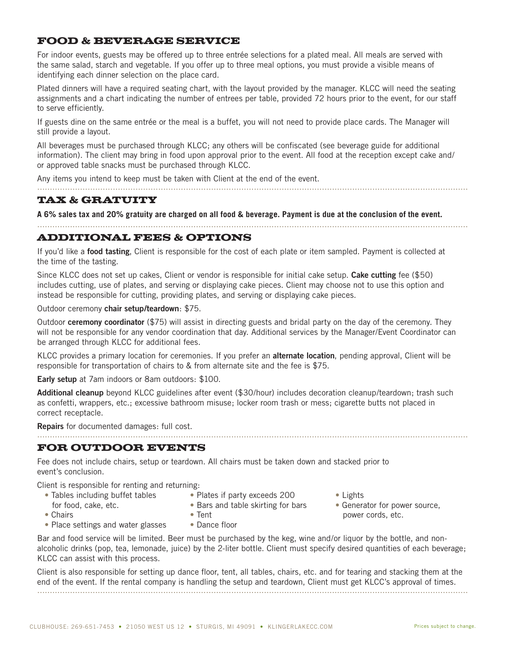## FOOD & BEVERAGE SERVICE

For indoor events, guests may be offered up to three entrée selections for a plated meal. All meals are served with the same salad, starch and vegetable. If you offer up to three meal options, you must provide a visible means of identifying each dinner selection on the place card.

Plated dinners will have a required seating chart, with the layout provided by the manager. KLCC will need the seating assignments and a chart indicating the number of entrees per table, provided 72 hours prior to the event, for our staff to serve efficiently.

If guests dine on the same entrée or the meal is a buffet, you will not need to provide place cards. The Manager will still provide a layout.

All beverages must be purchased through KLCC; any others will be confiscated (see beverage guide for additional information). The client may bring in food upon approval prior to the event. All food at the reception except cake and/ or approved table snacks must be purchased through KLCC.

Any items you intend to keep must be taken with Client at the end of the event.

### TAX & GRATUITY

**A 6% sales tax and 20% gratuity are charged on all food & beverage. Payment is due at the conclusion of the event.**

#### ADDITIONAL FEES & OPTIONS

If you'd like a **food tasting**, Client is responsible for the cost of each plate or item sampled. Payment is collected at the time of the tasting.

Since KLCC does not set up cakes, Client or vendor is responsible for initial cake setup. **Cake cutting** fee (\$50) includes cutting, use of plates, and serving or displaying cake pieces. Client may choose not to use this option and instead be responsible for cutting, providing plates, and serving or displaying cake pieces.

Outdoor ceremony **chair setup/teardown**: \$75.

Outdoor **ceremony coordinator** (\$75) will assist in directing guests and bridal party on the day of the ceremony. They will not be responsible for any vendor coordination that day. Additional services by the Manager/Event Coordinator can be arranged through KLCC for additional fees.

KLCC provides a primary location for ceremonies. If you prefer an **alternate location**, pending approval, Client will be responsible for transportation of chairs to & from alternate site and the fee is \$75.

**Early setup** at 7am indoors or 8am outdoors: \$100.

**Additional cleanup** beyond KLCC guidelines after event (\$30/hour) includes decoration cleanup/teardown; trash such as confetti, wrappers, etc.; excessive bathroom misuse; locker room trash or mess; cigarette butts not placed in correct receptacle.

Repairs for documented damages: full cost.

#### FOR OUTDOOR EVENTS

Fee does not include chairs, setup or teardown. All chairs must be taken down and stacked prior to event's conclusion.

Client is responsible for renting and returning:

- Tables including buffet tables
- Plates if party exceeds 200
- for food, cake, etc.

• Bars and table skirting for bars

• Chairs

- 
- Tent
- Place settings and water glasses
- Dance floor
- Lights
- Generator for power source, power cords, etc.
- Bar and food service will be limited. Beer must be purchased by the keg, wine and/or liquor by the bottle, and nonalcoholic drinks (pop, tea, lemonade, juice) by the 2-liter bottle. Client must specify desired quantities of each beverage; KLCC can assist with this process.

Client is also responsible for setting up dance floor, tent, all tables, chairs, etc. and for tearing and stacking them at the end of the event. If the rental company is handling the setup and teardown, Client must get KLCC's approval of times. ...........................................................................................................................................................................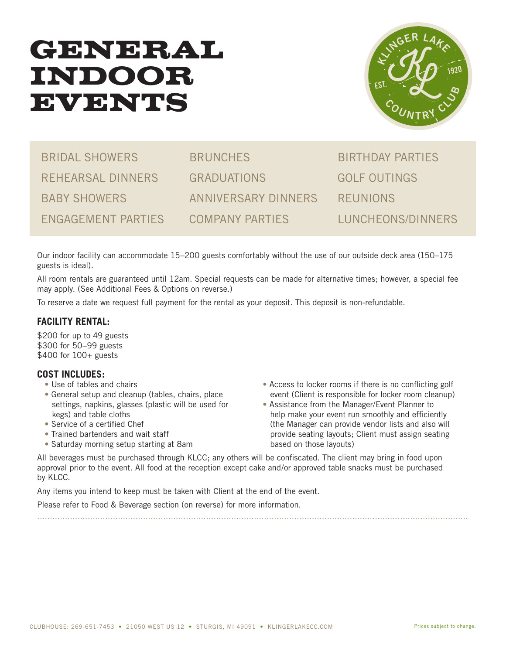## GENERAL INDOOR EVENTS



BRIDAL SHOWERS REHEARSAL DINNERS BABY SHOWERS ENGAGEMENT PARTIES

**BRUNCHES** GRADUATIONS ANNIVERSARY DINNERS COMPANY PARTIES

BIRTHDAY PARTIES GOLF OUTINGS REUNIONS LUNCHEONS/DINNERS

Our indoor facility can accommodate 15–200 guests comfortably without the use of our outside deck area (150–175 guests is ideal).

All room rentals are guaranteed until 12am. Special requests can be made for alternative times; however, a special fee may apply. (See Additional Fees & Options on reverse.)

To reserve a date we request full payment for the rental as your deposit. This deposit is non-refundable.

## **FACILITY RENTAL:**

\$200 for up to 49 guests \$300 for 50–99 guests \$400 for 100+ guests

#### **COST INCLUDES:**

- Use of tables and chairs
- General setup and cleanup (tables, chairs, place settings, napkins, glasses (plastic will be used for kegs) and table cloths
- Service of a certified Chef
- Trained bartenders and wait staff
- Saturday morning setup starting at 8am
- Access to locker rooms if there is no conflicting golf event (Client is responsible for locker room cleanup)
- Assistance from the Manager/Event Planner to help make your event run smoothly and efficiently (the Manager can provide vendor lists and also will provide seating layouts; Client must assign seating based on those layouts)

All beverages must be purchased through KLCC; any others will be confiscated. The client may bring in food upon approval prior to the event. All food at the reception except cake and/or approved table snacks must be purchased by KLCC.

...........................................................................................................................................................................

Any items you intend to keep must be taken with Client at the end of the event.

Please refer to Food & Beverage section (on reverse) for more information.

CLUBHOUSE: 269-651-7453 • 21050 WEST US 12 • STURGIS, MI 49091 • KLINGERLAKECC.COM Prices subject to change.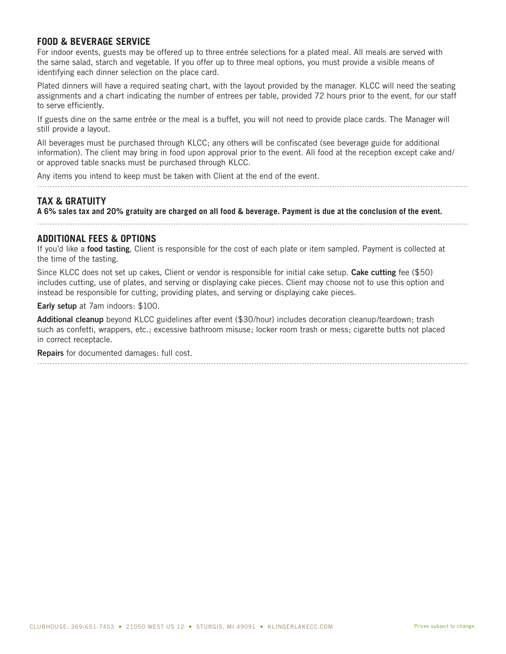#### **FOOD & BEVERAGE SERVICE**

For indoor events, guests may be offered up to three entrée selections for a plated meal. All meals are served with the same salad, starch and vegetable. If you offer up to three meal options, you must provide a visible means of identifying each dinner selection on the place card.

Plated dinners will have a required seating chart, with the layout provided by the manager. KLCC will need the seating assignments and a chart indicating the number of entrees per table, provided 72 hours prior to the event, for our staff to serve efficiently.

If guests dine on the same entrée or the meal is a buffet, you will not need to provide place cards. The Manager will still provide a layout.

All beverages must be purchased through KLCC; any others will be confiscated (see beverage guide for additional information). The client may bring in food upon approval prior to the event. All food at the reception except cake and/ or approved table snacks must be purchased through KLCC.

Any items you intend to keep must be taken with Client at the end of the event.

## **TAX & GRATUITY**

**A 6% sales tax and 20% gratuity are charged on all food & beverage. Payment is due at the conclusion of the event.**

...........................................................................................................................................................................

#### **ADDITIONAL FEES & OPTIONS**

If you'd like a **food tasting**, Client is responsible for the cost of each plate or item sampled. Payment is collected at the time of the tasting.

Since KLCC does not set up cakes, Client or vendor is responsible for initial cake setup. **Cake cutting** fee (\$50) includes cutting, use of plates, and serving or displaying cake pieces. Client may choose not to use this option and instead be responsible for cutting, providing plates, and serving or displaying cake pieces.

**Early setup** at 7am indoors: \$100.

**Additional cleanup** beyond KLCC guidelines after event (\$30/hour) includes decoration cleanup/teardown; trash such as confetti, wrappers, etc.; excessive bathroom misuse; locker room trash or mess; cigarette butts not placed in correct receptacle.

**Repairs** for documented damages: full cost. ...........................................................................................................................................................................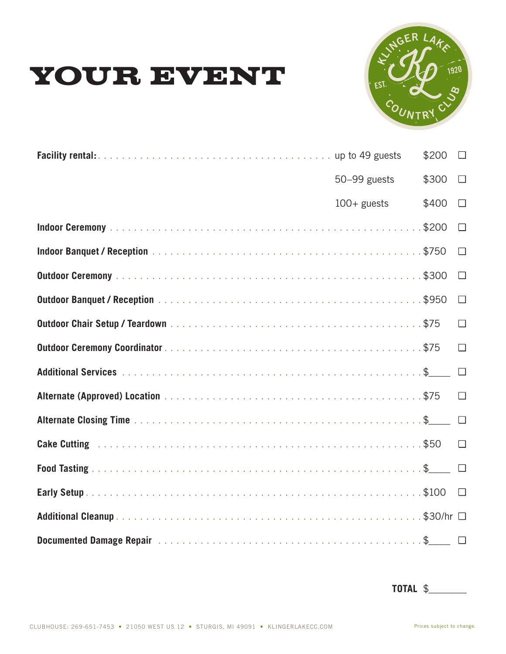



|                | $$200$ $\square$ |        |
|----------------|------------------|--------|
| 50-99 guests   | \$300            | $\Box$ |
| $100 +$ guests | \$400            | $\Box$ |
|                |                  | $\Box$ |
|                |                  | $\Box$ |
|                |                  | $\Box$ |
|                |                  | $\Box$ |
|                |                  | $\Box$ |
|                |                  | $\Box$ |
|                |                  |        |
|                |                  | $\Box$ |
|                |                  |        |
|                |                  |        |
|                |                  |        |
|                |                  |        |
|                |                  |        |
|                |                  |        |

**TOTAL** \$\_\_\_\_\_\_\_